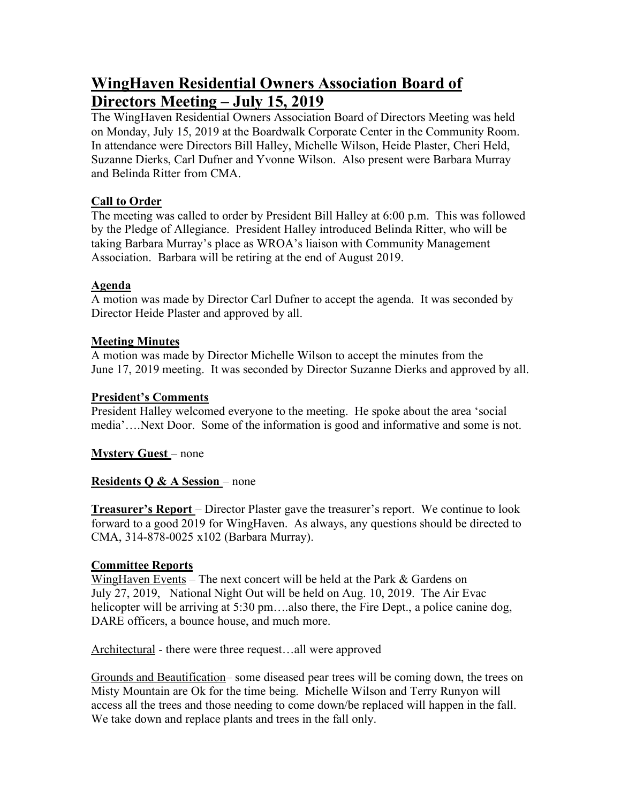# **WingHaven Residential Owners Association Board of Directors Meeting – July 15, 2019**

The WingHaven Residential Owners Association Board of Directors Meeting was held on Monday, July 15, 2019 at the Boardwalk Corporate Center in the Community Room. In attendance were Directors Bill Halley, Michelle Wilson, Heide Plaster, Cheri Held, Suzanne Dierks, Carl Dufner and Yvonne Wilson. Also present were Barbara Murray and Belinda Ritter from CMA.

## **Call to Order**

The meeting was called to order by President Bill Halley at 6:00 p.m. This was followed by the Pledge of Allegiance. President Halley introduced Belinda Ritter, who will be taking Barbara Murray's place as WROA's liaison with Community Management Association. Barbara will be retiring at the end of August 2019.

## **Agenda**

A motion was made by Director Carl Dufner to accept the agenda. It was seconded by Director Heide Plaster and approved by all.

## **Meeting Minutes**

A motion was made by Director Michelle Wilson to accept the minutes from the June 17, 2019 meeting. It was seconded by Director Suzanne Dierks and approved by all.

## **President's Comments**

President Halley welcomed everyone to the meeting. He spoke about the area 'social media'….Next Door. Some of the information is good and informative and some is not.

**Mystery Guest** – none

# **Residents Q & A Session** – none

**Treasurer's Report** – Director Plaster gave the treasurer's report. We continue to look forward to a good 2019 for WingHaven. As always, any questions should be directed to CMA, 314-878-0025 x102 (Barbara Murray).

#### **Committee Reports**

WingHaven Events – The next concert will be held at the Park & Gardens on July 27, 2019, National Night Out will be held on Aug. 10, 2019. The Air Evac helicopter will be arriving at 5:30 pm...also there, the Fire Dept., a police canine dog, DARE officers, a bounce house, and much more.

Architectural - there were three request…all were approved

Grounds and Beautification– some diseased pear trees will be coming down, the trees on Misty Mountain are Ok for the time being. Michelle Wilson and Terry Runyon will access all the trees and those needing to come down/be replaced will happen in the fall. We take down and replace plants and trees in the fall only.